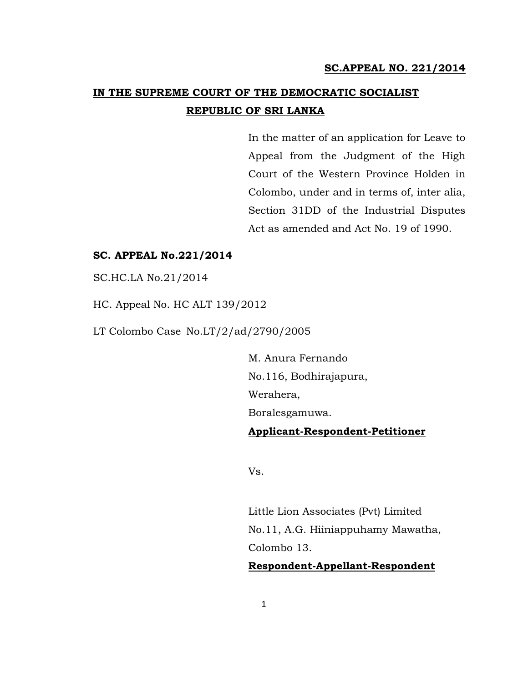# **IN THE SUPREME COURT OF THE DEMOCRATIC SOCIALIST REPUBLIC OF SRI LANKA**

In the matter of an application for Leave to Appeal from the Judgment of the High Court of the Western Province Holden in Colombo, under and in terms of, inter alia, Section 31DD of the Industrial Disputes Act as amended and Act No. 19 of 1990.

# **SC. APPEAL No.221/2014**

SC.HC.LA No.21/2014

HC. Appeal No. HC ALT 139/2012

LT Colombo Case No.LT/2/ad/2790/2005

M. Anura Fernando No.116, Bodhirajapura, Werahera, Boralesgamuwa. **Applicant-Respondent-Petitioner**

Vs.

Little Lion Associates (Pvt) Limited No.11, A.G. Hiiniappuhamy Mawatha, Colombo 13.

**Respondent-Appellant-Respondent**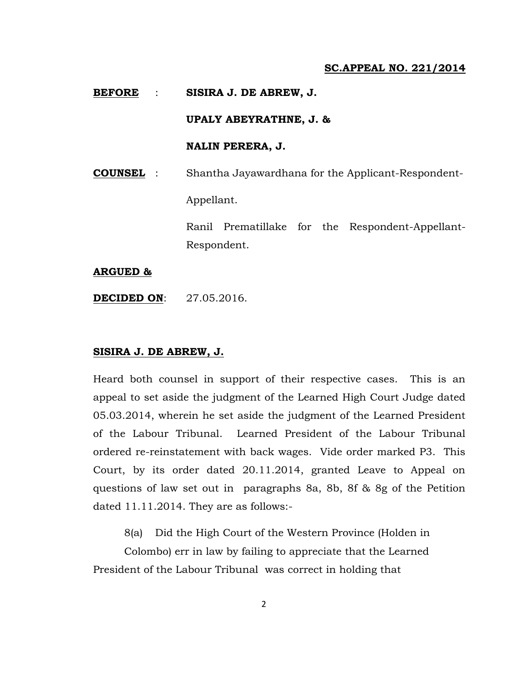#### **BEFORE** : **SISIRA J. DE ABREW, J.**

## **UPALY ABEYRATHNE, J. &**

# **NALIN PERERA, J.**

**COUNSEL** : Shantha Jayawardhana for the Applicant-Respondent-

Appellant.

Ranil Prematillake for the Respondent-Appellant-Respondent.

#### **ARGUED &**

**DECIDED ON**: 27.05.2016.

### **SISIRA J. DE ABREW, J.**

Heard both counsel in support of their respective cases. This is an appeal to set aside the judgment of the Learned High Court Judge dated 05.03.2014, wherein he set aside the judgment of the Learned President of the Labour Tribunal. Learned President of the Labour Tribunal ordered re-reinstatement with back wages. Vide order marked P3. This Court, by its order dated 20.11.2014, granted Leave to Appeal on questions of law set out in paragraphs 8a, 8b, 8f & 8g of the Petition dated 11.11.2014. They are as follows:-

8(a) Did the High Court of the Western Province (Holden in

Colombo) err in law by failing to appreciate that the Learned President of the Labour Tribunal was correct in holding that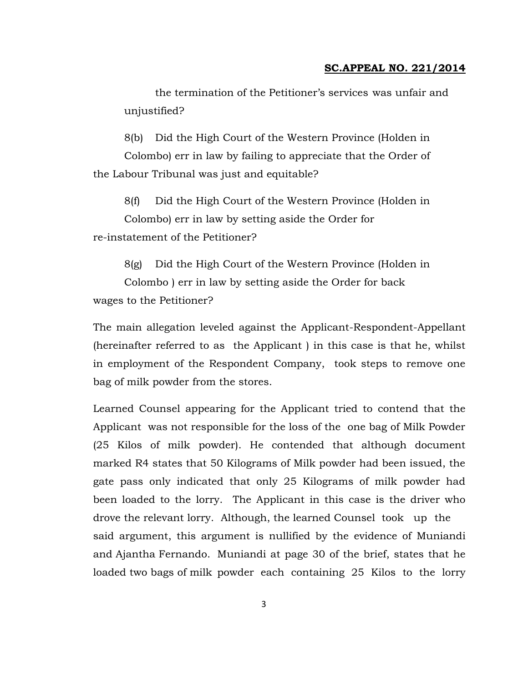the termination of the Petitioner's services was unfair and unjustified?

8(b) Did the High Court of the Western Province (Holden in Colombo) err in law by failing to appreciate that the Order of the Labour Tribunal was just and equitable?

8(f) Did the High Court of the Western Province (Holden in Colombo) err in law by setting aside the Order for re-instatement of the Petitioner?

8(g) Did the High Court of the Western Province (Holden in Colombo ) err in law by setting aside the Order for back wages to the Petitioner?

The main allegation leveled against the Applicant-Respondent-Appellant (hereinafter referred to as the Applicant ) in this case is that he, whilst in employment of the Respondent Company, took steps to remove one bag of milk powder from the stores.

Learned Counsel appearing for the Applicant tried to contend that the Applicant was not responsible for the loss of the one bag of Milk Powder (25 Kilos of milk powder). He contended that although document marked R4 states that 50 Kilograms of Milk powder had been issued, the gate pass only indicated that only 25 Kilograms of milk powder had been loaded to the lorry. The Applicant in this case is the driver who drove the relevant lorry. Although, the learned Counsel took up the said argument, this argument is nullified by the evidence of Muniandi and Ajantha Fernando. Muniandi at page 30 of the brief, states that he loaded two bags of milk powder each containing 25 Kilos to the lorry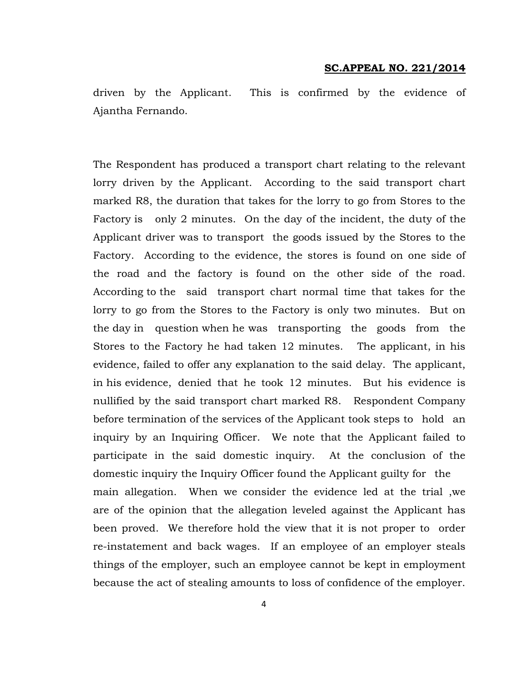driven by the Applicant. This is confirmed by the evidence of Ajantha Fernando.

The Respondent has produced a transport chart relating to the relevant lorry driven by the Applicant. According to the said transport chart marked R8, the duration that takes for the lorry to go from Stores to the Factory is only 2 minutes. On the day of the incident, the duty of the Applicant driver was to transport the goods issued by the Stores to the Factory. According to the evidence, the stores is found on one side of the road and the factory is found on the other side of the road. According to the said transport chart normal time that takes for the lorry to go from the Stores to the Factory is only two minutes. But on the day in question when he was transporting the goods from the Stores to the Factory he had taken 12 minutes. The applicant, in his evidence, failed to offer any explanation to the said delay. The applicant, in his evidence, denied that he took 12 minutes. But his evidence is nullified by the said transport chart marked R8. Respondent Company before termination of the services of the Applicant took steps to hold an inquiry by an Inquiring Officer. We note that the Applicant failed to participate in the said domestic inquiry. At the conclusion of the domestic inquiry the Inquiry Officer found the Applicant guilty for the main allegation. When we consider the evidence led at the trial ,we are of the opinion that the allegation leveled against the Applicant has been proved. We therefore hold the view that it is not proper to order re-instatement and back wages. If an employee of an employer steals things of the employer, such an employee cannot be kept in employment because the act of stealing amounts to loss of confidence of the employer.